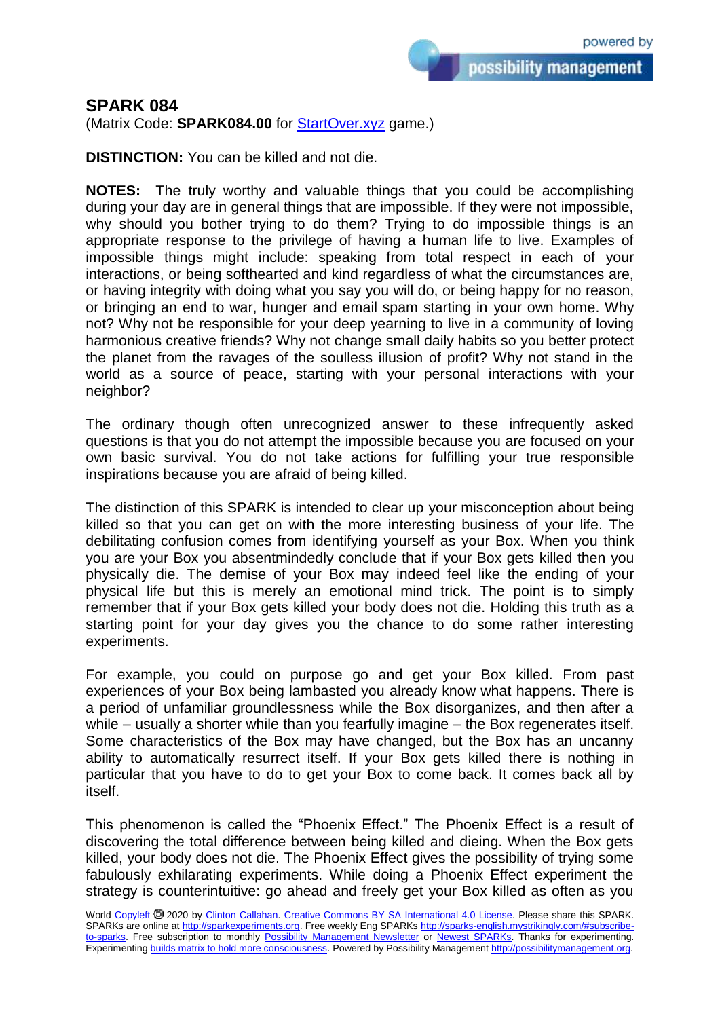possibility management

## **SPARK 084**

(Matrix Code: **SPARK084.00** for **StartOver.xyz** game.)

**DISTINCTION:** You can be killed and not die.

**NOTES:** The truly worthy and valuable things that you could be accomplishing during your day are in general things that are impossible. If they were not impossible, why should you bother trying to do them? Trying to do impossible things is an appropriate response to the privilege of having a human life to live. Examples of impossible things might include: speaking from total respect in each of your interactions, or being softhearted and kind regardless of what the circumstances are, or having integrity with doing what you say you will do, or being happy for no reason, or bringing an end to war, hunger and email spam starting in your own home. Why not? Why not be responsible for your deep yearning to live in a community of loving harmonious creative friends? Why not change small daily habits so you better protect the planet from the ravages of the soulless illusion of profit? Why not stand in the world as a source of peace, starting with your personal interactions with your neighbor?

The ordinary though often unrecognized answer to these infrequently asked questions is that you do not attempt the impossible because you are focused on your own basic survival. You do not take actions for fulfilling your true responsible inspirations because you are afraid of being killed.

The distinction of this SPARK is intended to clear up your misconception about being killed so that you can get on with the more interesting business of your life. The debilitating confusion comes from identifying yourself as your Box. When you think you are your Box you absentmindedly conclude that if your Box gets killed then you physically die. The demise of your Box may indeed feel like the ending of your physical life but this is merely an emotional mind trick. The point is to simply remember that if your Box gets killed your body does not die. Holding this truth as a starting point for your day gives you the chance to do some rather interesting experiments.

For example, you could on purpose go and get your Box killed. From past experiences of your Box being lambasted you already know what happens. There is a period of unfamiliar groundlessness while the Box disorganizes, and then after a while – usually a shorter while than you fearfully imagine – the Box regenerates itself. Some characteristics of the Box may have changed, but the Box has an uncanny ability to automatically resurrect itself. If your Box gets killed there is nothing in particular that you have to do to get your Box to come back. It comes back all by itself.

This phenomenon is called the "Phoenix Effect." The Phoenix Effect is a result of discovering the total difference between being killed and dieing. When the Box gets killed, your body does not die. The Phoenix Effect gives the possibility of trying some fabulously exhilarating experiments. While doing a Phoenix Effect experiment the strategy is counterintuitive: go ahead and freely get your Box killed as often as you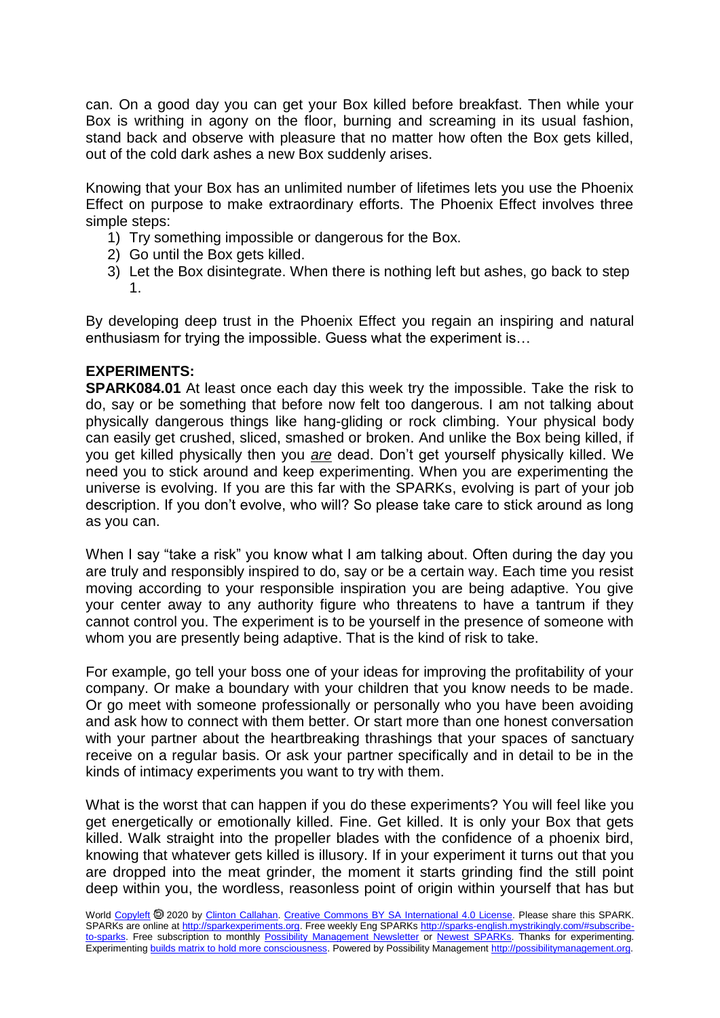can. On a good day you can get your Box killed before breakfast. Then while your Box is writhing in agony on the floor, burning and screaming in its usual fashion, stand back and observe with pleasure that no matter how often the Box gets killed, out of the cold dark ashes a new Box suddenly arises.

Knowing that your Box has an unlimited number of lifetimes lets you use the Phoenix Effect on purpose to make extraordinary efforts. The Phoenix Effect involves three simple steps:

- 1) Try something impossible or dangerous for the Box.
- 2) Go until the Box gets killed.
- 3) Let the Box disintegrate. When there is nothing left but ashes, go back to step 1.

By developing deep trust in the Phoenix Effect you regain an inspiring and natural enthusiasm for trying the impossible. Guess what the experiment is…

## **EXPERIMENTS:**

**SPARK084.01** At least once each day this week try the impossible. Take the risk to do, say or be something that before now felt too dangerous. I am not talking about physically dangerous things like hang-gliding or rock climbing. Your physical body can easily get crushed, sliced, smashed or broken. And unlike the Box being killed, if you get killed physically then you *are* dead. Don't get yourself physically killed. We need you to stick around and keep experimenting. When you are experimenting the universe is evolving. If you are this far with the SPARKs, evolving is part of your job description. If you don't evolve, who will? So please take care to stick around as long as you can.

When I say "take a risk" you know what I am talking about. Often during the day you are truly and responsibly inspired to do, say or be a certain way. Each time you resist moving according to your responsible inspiration you are being adaptive. You give your center away to any authority figure who threatens to have a tantrum if they cannot control you. The experiment is to be yourself in the presence of someone with whom you are presently being adaptive. That is the kind of risk to take.

For example, go tell your boss one of your ideas for improving the profitability of your company. Or make a boundary with your children that you know needs to be made. Or go meet with someone professionally or personally who you have been avoiding and ask how to connect with them better. Or start more than one honest conversation with your partner about the heartbreaking thrashings that your spaces of sanctuary receive on a regular basis. Or ask your partner specifically and in detail to be in the kinds of intimacy experiments you want to try with them.

What is the worst that can happen if you do these experiments? You will feel like you get energetically or emotionally killed. Fine. Get killed. It is only your Box that gets killed. Walk straight into the propeller blades with the confidence of a phoenix bird, knowing that whatever gets killed is illusory. If in your experiment it turns out that you are dropped into the meat grinder, the moment it starts grinding find the still point deep within you, the wordless, reasonless point of origin within yourself that has but

World [Copyleft](https://en.wikipedia.org/wiki/Copyleft) <sup>®</sup> 2020 by [Clinton Callahan.](http://clintoncallahan.mystrikingly.com/) [Creative Commons BY SA International 4.0 License.](https://creativecommons.org/licenses/by-sa/4.0/) Please share this SPARK. SPARKs are online at [http://sparkexperiments.org.](http://sparks-english.mystrikingly.com/) Free weekly Eng SPARKs [http://sparks-english.mystrikingly.com/#subscribe](http://sparks-english.mystrikingly.com/#subscribe-to-sparks)[to-sparks.](http://sparks-english.mystrikingly.com/#subscribe-to-sparks) Free subscription to monthly [Possibility Management Newsletter](https://possibilitymanagement.org/news/) or [Newest SPARKs.](https://www.clintoncallahan.org/newsletter-1) Thanks for experimenting. Experimentin[g builds matrix to hold more consciousness.](http://spaceport.mystrikingly.com/) Powered by Possibility Managemen[t http://possibilitymanagement.org.](http://possibilitymanagement.org/)